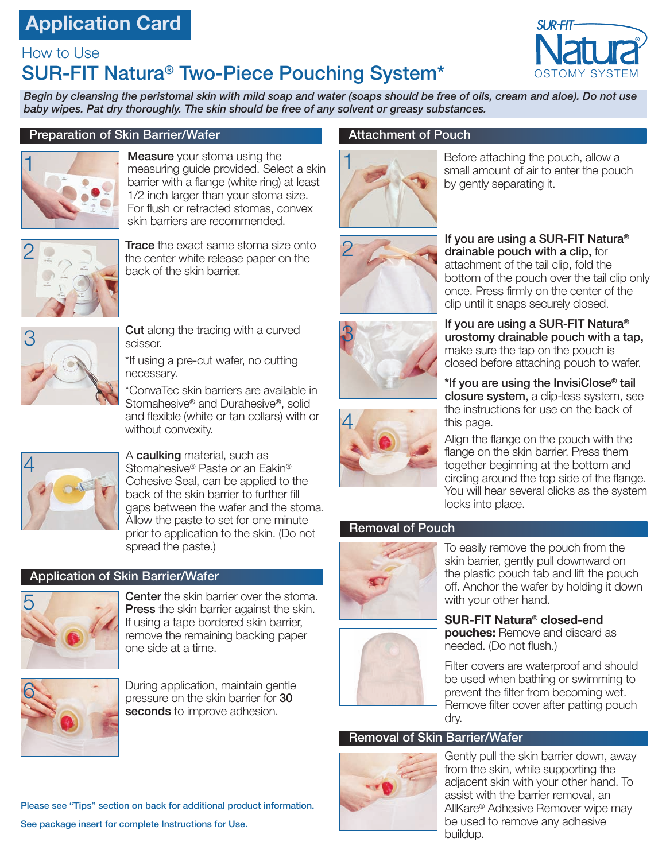## **Application Card**

### How to Use SUR-FIT Natura® Two-Piece Pouching System\*



*Begin by cleansing the peristomal skin with mild soap and water (soaps should be free of oils, cream and aloe). Do not use baby wipes. Pat dry thoroughly. The skin should be free of any solvent or greasy substances.*

#### Preparation of Skin Barrier/Wafer



**Measure** your stoma using the measuring guide provided. Select a skin barrier with a flange (white ring) at least 1/2 inch larger than your stoma size. For flush or retracted stomas, convex skin barriers are recommended.



**Trace** the exact same stoma size onto the center white release paper on the back of the skin barrier.



**Cut** along the tracing with a curved scissor.

\*If using a pre-cut wafer, no cutting necessary.

\*ConvaTec skin barriers are available in Stomahesive® and Durahesive®, solid and flexible (white or tan collars) with or without convexity.



A **caulking** material, such as Stomahesive® Paste or an Eakin® Cohesive Seal, can be applied to the back of the skin barrier to further fill gaps between the wafer and the stoma. Allow the paste to set for one minute prior to application to the skin. (Do not spread the paste.)

### Application of Skin Barrier/Wafer



Center the skin barrier over the stoma. Press the skin barrier against the skin. If using a tape bordered skin barrier, remove the remaining backing paper one side at a time.



During application, maintain gentle pressure on the skin barrier for 30 seconds to improve adhesion.

Please see "Tips" section on back for additional product information. See package insert for complete Instructions for Use.

### Attachment of Pouch



Before attaching the pouch, allow a small amount of air to enter the pouch by gently separating it.



If you are using a SUR-FIT Natura® drainable pouch with a clip, for attachment of the tail clip, fold the bottom of the pouch over the tail clip only once. Press firmly on the center of the clip until it snaps securely closed.





If you are using a SUR-FIT Natura® urostomy drainable pouch with a tap, make sure the tap on the pouch is closed before attaching pouch to wafer.

\*If you are using the InvisiClose® tail closure system, a clip-less system, see the instructions for use on the back of this page.

Align the flange on the pouch with the flange on the skin barrier. Press them together beginning at the bottom and circling around the top side of the flange. You will hear several clicks as the system locks into place.

### Removal of Pouch





**SUR-FIT Natura**® **closed-end pouches:** Remove and discard as needed. (Do not flush.)

Filter covers are waterproof and should be used when bathing or swimming to prevent the filter from becoming wet. Remove filter cover after patting pouch dry.

### Removal of Skin Barrier/Wafer



Gently pull the skin barrier down, away from the skin, while supporting the adjacent skin with your other hand. To assist with the barrier removal, an AllKare® Adhesive Remover wipe may be used to remove any adhesive buildup.